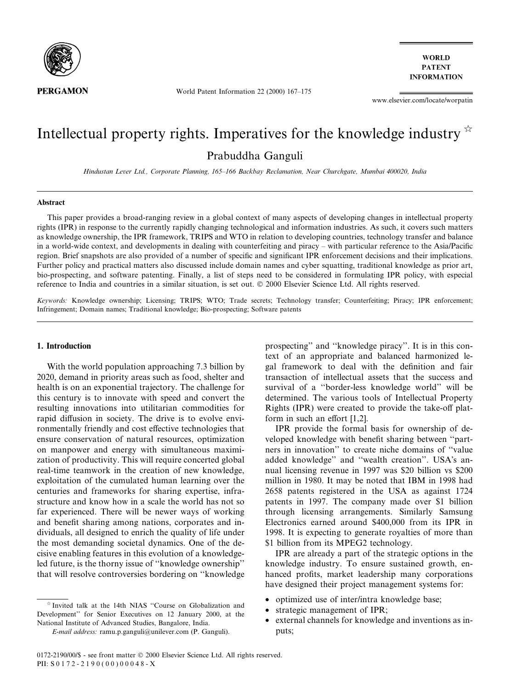

**WORLD PATENT INFORMATION** 

World Patent Information 22 (2000)  $167-175$ 

www.elsevier.com/locate/worpatin

# Intellectual property rights. Imperatives for the knowledge industry  $\dot{\alpha}$ Prabuddha Ganguli

Hindustan Lever Ltd., Corporate Planning, 165-166 Backbay Reclamation, Near Churchgate, Mumbai 400020, India

#### Abstract

This paper provides a broad-ranging review in a global context of many aspects of developing changes in intellectual property rights (IPR) in response to the currently rapidly changing technological and information industries. As such, it covers such matters as knowledge ownership, the IPR framework, TRIPS and WTO in relation to developing countries, technology transfer and balance in a world-wide context, and developments in dealing with counterfeiting and piracy – with particular reference to the Asia/Pacific region. Brief snapshots are also provided of a number of specific and significant IPR enforcement decisions and their implications. Further policy and practical matters also discussed include domain names and cyber squatting, traditional knowledge as prior art, bio-prospecting, and software patenting. Finally, a list of steps need to be considered in formulating IPR policy, with especial reference to India and countries in a similar situation, is set out. © 2000 Elsevier Science Ltd. All rights reserved.

Keywords: Knowledge ownership; Licensing; TRIPS; WTO; Trade secrets; Technology transfer; Counterfeiting; Piracy; IPR enforcement; Infringement; Domain names; Traditional knowledge; Bio-prospecting; Software patents

### 1. Introduction

With the world population approaching 7.3 billion by 2020, demand in priority areas such as food, shelter and health is on an exponential trajectory. The challenge for this century is to innovate with speed and convert the resulting innovations into utilitarian commodities for rapid diffusion in society. The drive is to evolve environmentally friendly and cost effective technologies that ensure conservation of natural resources, optimization on manpower and energy with simultaneous maximization of productivity. This will require concerted global real-time teamwork in the creation of new knowledge, exploitation of the cumulated human learning over the centuries and frameworks for sharing expertise, infrastructure and know how in a scale the world has not so far experienced. There will be newer ways of working and benefit sharing among nations, corporates and individuals, all designed to enrich the quality of life under the most demanding societal dynamics. One of the decisive enabling features in this evolution of a knowledgeled future, is the thorny issue of "knowledge ownership" that will resolve controversies bordering on "knowledge"

 $*$  Invited talk at the 14th NIAS "Course on Globalization and Development'' for Senior Executives on 12 January 2000, at the National Institute of Advanced Studies, Bangalore, India.

prospecting" and "knowledge piracy". It is in this context of an appropriate and balanced harmonized legal framework to deal with the definition and fair transaction of intellectual assets that the success and survival of a "border-less knowledge world" will be determined. The various tools of Intellectual Property Rights (IPR) were created to provide the take-off platform in such an effort  $[1,2]$ .

IPR provide the formal basis for ownership of developed knowledge with benefit sharing between "partners in innovation" to create niche domains of "value added knowledge" and "wealth creation". USA's annual licensing revenue in 1997 was \$20 billion vs \$200 million in 1980. It may be noted that IBM in 1998 had 2658 patents registered in the USA as against 1724 patents in 1997. The company made over \$1 billion through licensing arrangements. Similarly Samsung Electronics earned around \$400,000 from its IPR in 1998. It is expecting to generate royalties of more than \$1 billion from its MPEG2 technology.

IPR are already a part of the strategic options in the knowledge industry. To ensure sustained growth, enhanced profits, market leadership many corporations have designed their project management systems for:

- optimized use of inter/intra knowledge base;
- · strategic management of IPR;
- external channels for knowledge and inventions as inputs;

E-mail address: ramu.p.ganguli@unilever.com (P. Ganguli).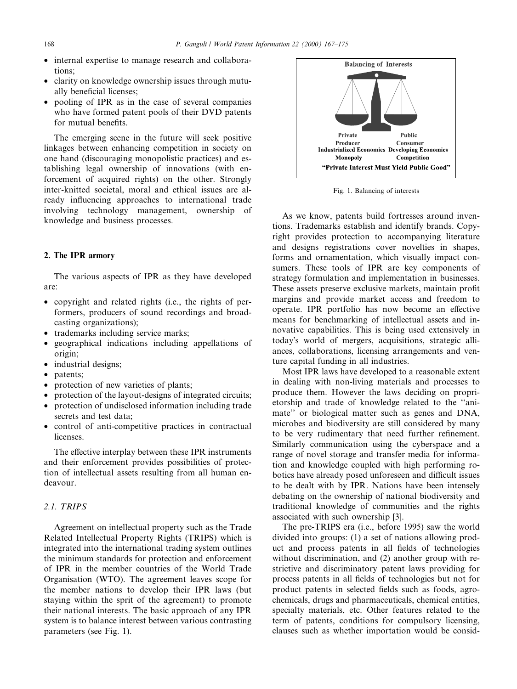- internal expertise to manage research and collaborations;
- clarity on knowledge ownership issues through mutually beneficial licenses;
- · pooling of IPR as in the case of several companies who have formed patent pools of their DVD patents for mutual benefits.

The emerging scene in the future will seek positive linkages between enhancing competition in society on one hand (discouraging monopolistic practices) and establishing legal ownership of innovations (with enforcement of acquired rights) on the other. Strongly inter-knitted societal, moral and ethical issues are already influencing approaches to international trade involving technology management, ownership of knowledge and business processes.

#### 2. The IPR armory

The various aspects of IPR as they have developed are:

- · copyright and related rights (i.e., the rights of performers, producers of sound recordings and broadcasting organizations);
- trademarks including service marks;
- · geographical indications including appellations of origin;
- industrial designs;
- patents;
- protection of new varieties of plants;
- protection of the layout-designs of integrated circuits;
- protection of undisclosed information including trade secrets and test data;
- · control of anti-competitive practices in contractual licenses.

The effective interplay between these IPR instruments and their enforcement provides possibilities of protection of intellectual assets resulting from all human endeavour.

#### 2.1. TRIPS

Agreement on intellectual property such as the Trade Related Intellectual Property Rights (TRIPS) which is integrated into the international trading system outlines the minimum standards for protection and enforcement of IPR in the member countries of the World Trade Organisation (WTO). The agreement leaves scope for the member nations to develop their IPR laws (but staying within the sprit of the agreement) to promote their national interests. The basic approach of any IPR system is to balance interest between various contrasting parameters (see Fig. 1).



Fig. 1. Balancing of interests

As we know, patents build fortresses around inventions. Trademarks establish and identify brands. Copyright provides protection to accompanying literature and designs registrations cover novelties in shapes, forms and ornamentation, which visually impact consumers. These tools of IPR are key components of strategy formulation and implementation in businesses. These assets preserve exclusive markets, maintain profit margins and provide market access and freedom to operate. IPR portfolio has now become an effective means for benchmarking of intellectual assets and innovative capabilities. This is being used extensively in today's world of mergers, acquisitions, strategic alliances, collaborations, licensing arrangements and venture capital funding in all industries.

Most IPR laws have developed to a reasonable extent in dealing with non-living materials and processes to produce them. However the laws deciding on proprietorship and trade of knowledge related to the ``animate'' or biological matter such as genes and DNA, microbes and biodiversity are still considered by many to be very rudimentary that need further refinement. Similarly communication using the cyberspace and a range of novel storage and transfer media for information and knowledge coupled with high performing robotics have already posed unforeseen and difficult issues to be dealt with by IPR. Nations have been intensely debating on the ownership of national biodiversity and traditional knowledge of communities and the rights associated with such ownership [3].

The pre-TRIPS era (i.e., before 1995) saw the world divided into groups: (1) a set of nations allowing product and process patents in all fields of technologies without discrimination, and (2) another group with restrictive and discriminatory patent laws providing for process patents in all fields of technologies but not for product patents in selected fields such as foods, agrochemicals, drugs and pharmaceuticals, chemical entities, specialty materials, etc. Other features related to the term of patents, conditions for compulsory licensing, clauses such as whether importation would be consid-